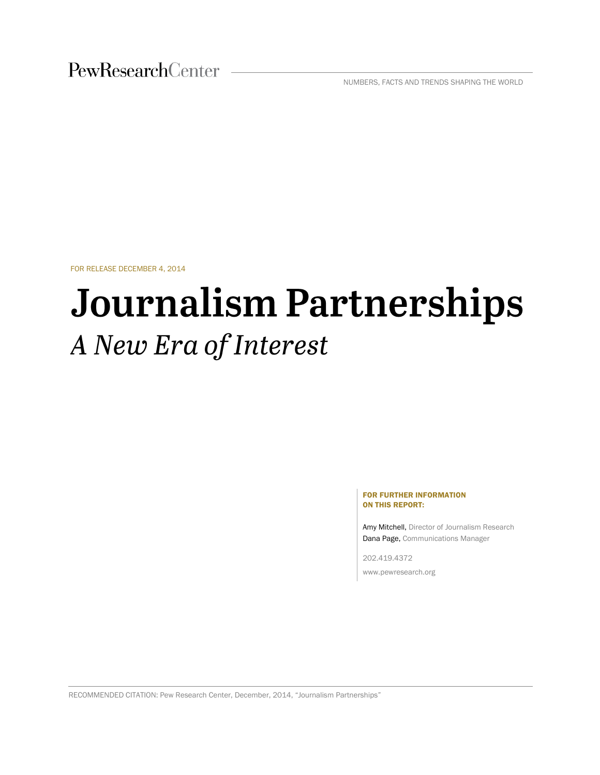PewResearchCenter

NUMBERS, FACTS AND TRENDS SHAPING THE WORLD

FOR RELEASE DECEMBER 4, 2014

# **Journalism Partnerships** A New Era of Interest

#### FOR FURTHER INFORMATION ON THIS REPORT:

Amy Mitchell, Director of Journalism Research Dana Page, Communications Manager

202.419.4372 www.pewresearch.org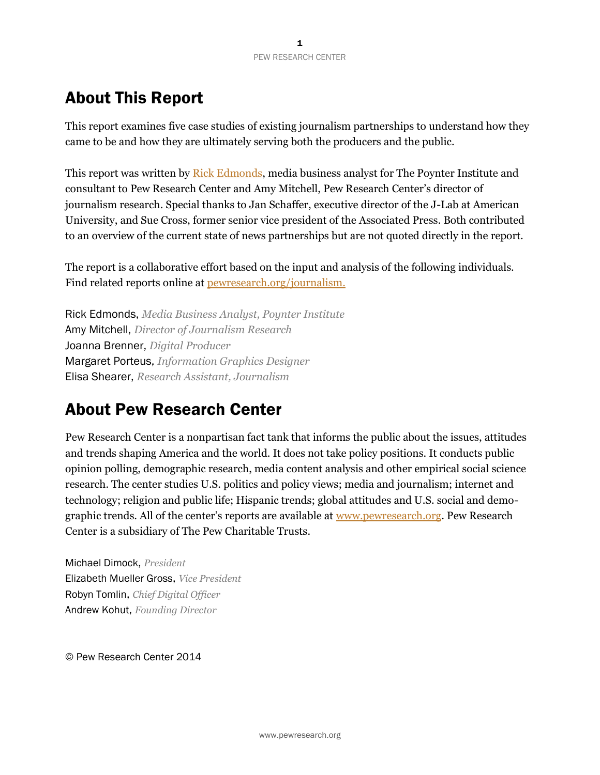# About This Report

This report examines five case studies of existing journalism partnerships to understand how they came to be and how they are ultimately serving both the producers and the public.

This report was written by [Rick Edmonds,](http://about.poynter.org/about-us/our-people/rick-edmonds) media business analyst for The Poynter Institute and consultant to Pew Research Center and Amy Mitchell, Pew Research Center's director of journalism research. Special thanks to Jan Schaffer, executive director of the J-Lab at American University, and Sue Cross, former senior vice president of the Associated Press. Both contributed to an overview of the current state of news partnerships but are not quoted directly in the report.

The report is a collaborative effort based on the input and analysis of the following individuals. Find related reports online at [pewresearch.org/journalism.](http://www.journalism.org/)

Rick Edmonds, *Media Business Analyst, Poynter Institute* Amy Mitchell, *Director of Journalism Research* Joanna Brenner, *Digital Producer* Margaret Porteus, *Information Graphics Designer* Elisa Shearer, *Research Assistant, Journalism*

### About Pew Research Center

Pew Research Center is a nonpartisan fact tank that informs the public about the issues, attitudes and trends shaping America and the world. It does not take policy positions. It conducts public opinion polling, demographic research, media content analysis and other empirical social science research. The center studies U.S. politics and policy views; media and journalism; internet and technology; religion and public life; Hispanic trends; global attitudes and U.S. social and demographic trends. All of the center's reports are available at [www.pewresearch.org.](http://www.pewresearch.org/) Pew Research Center is a subsidiary of The Pew Charitable Trusts.

Michael Dimock, *President* Elizabeth Mueller Gross, *Vice President* Robyn Tomlin, *Chief Digital Officer* Andrew Kohut, *Founding Director*

© Pew Research Center 2014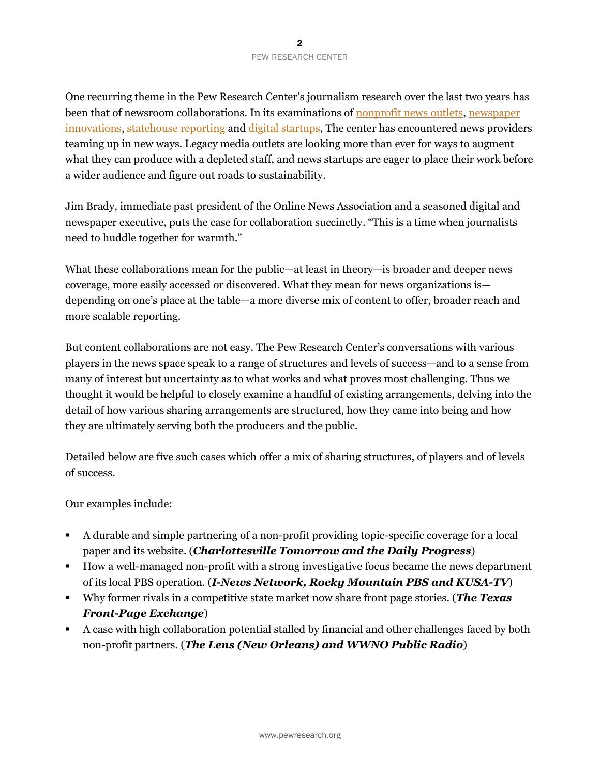One recurring theme in the Pew Research Center's journalism research over the last two years has been that of newsroom collaborations. In its examinations of [nonprofit news outlets,](http://www.journalism.org/2013/06/10/nonprofit-journalism/) newspaper [innovations,](http://www.stateofthemedia.org/2013/newspapers-stabilizing-but-still-threatened/) [statehouse reporting](http://www.journalism.org/2014/07/10/americas-shifting-statehouse-press/) and [digital startups,](http://www.journalism.org/2014/03/26/the-growth-in-digital-reporting/) The center has encountered news providers teaming up in new ways. Legacy media outlets are looking more than ever for ways to augment what they can produce with a depleted staff, and news startups are eager to place their work before a wider audience and figure out roads to sustainability.

Jim Brady, immediate past president of the Online News Association and a seasoned digital and newspaper executive, puts the case for collaboration succinctly. "This is a time when journalists need to huddle together for warmth."

What these collaborations mean for the public—at least in theory—is broader and deeper news coverage, more easily accessed or discovered. What they mean for news organizations is depending on one's place at the table—a more diverse mix of content to offer, broader reach and more scalable reporting.

But content collaborations are not easy. The Pew Research Center's conversations with various players in the news space speak to a range of structures and levels of success—and to a sense from many of interest but uncertainty as to what works and what proves most challenging. Thus we thought it would be helpful to closely examine a handful of existing arrangements, delving into the detail of how various sharing arrangements are structured, how they came into being and how they are ultimately serving both the producers and the public.

Detailed below are five such cases which offer a mix of sharing structures, of players and of levels of success.

#### Our examples include:

- A durable and simple partnering of a non-profit providing topic-specific coverage for a local paper and its website. (*Charlottesville Tomorrow and the Daily Progress*)
- How a well-managed non-profit with a strong investigative focus became the news department of its local PBS operation. (*I-News Network, Rocky Mountain PBS and KUSA-TV*)
- Why former rivals in a competitive state market now share front page stories. (*The Texas Front-Page Exchange*)
- A case with high collaboration potential stalled by financial and other challenges faced by both non-profit partners. (*The Lens (New Orleans) and WWNO Public Radio*)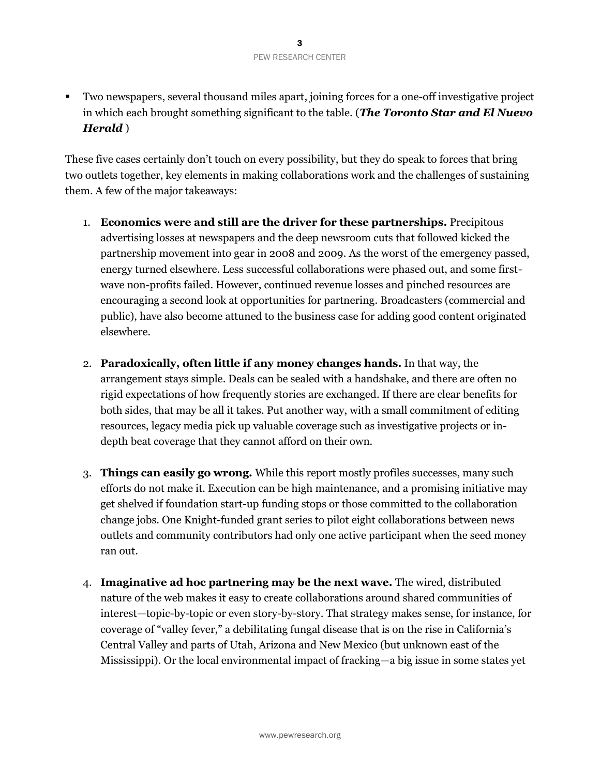Two newspapers, several thousand miles apart, joining forces for a one-off investigative project in which each brought something significant to the table. (*The Toronto Star and El Nuevo Herald* )

These five cases certainly don't touch on every possibility, but they do speak to forces that bring two outlets together, key elements in making collaborations work and the challenges of sustaining them. A few of the major takeaways:

- 1. **Economics were and still are the driver for these partnerships.** Precipitous advertising losses at newspapers and the deep newsroom cuts that followed kicked the partnership movement into gear in 2008 and 2009. As the worst of the emergency passed, energy turned elsewhere. Less successful collaborations were phased out, and some firstwave non-profits failed. However, continued revenue losses and pinched resources are encouraging a second look at opportunities for partnering. Broadcasters (commercial and public), have also become attuned to the business case for adding good content originated elsewhere.
- 2. **Paradoxically, often little if any money changes hands.** In that way, the arrangement stays simple. Deals can be sealed with a handshake, and there are often no rigid expectations of how frequently stories are exchanged. If there are clear benefits for both sides, that may be all it takes. Put another way, with a small commitment of editing resources, legacy media pick up valuable coverage such as investigative projects or indepth beat coverage that they cannot afford on their own.
- 3. **Things can easily go wrong.** While this report mostly profiles successes, many such efforts do not make it. Execution can be high maintenance, and a promising initiative may get shelved if foundation start-up funding stops or those committed to the collaboration change jobs. One Knight-funded grant series to pilot eight collaborations between news outlets and community contributors had only one active participant when the seed money ran out.
- 4. **Imaginative ad hoc partnering may be the next wave.** The wired, distributed nature of the web makes it easy to create collaborations around shared communities of interest—topic-by-topic or even story-by-story. That strategy makes sense, for instance, for coverage of "valley fever," a debilitating fungal disease that is on the rise in California's Central Valley and parts of Utah, Arizona and New Mexico (but unknown east of the Mississippi). Or the local environmental impact of fracking—a big issue in some states yet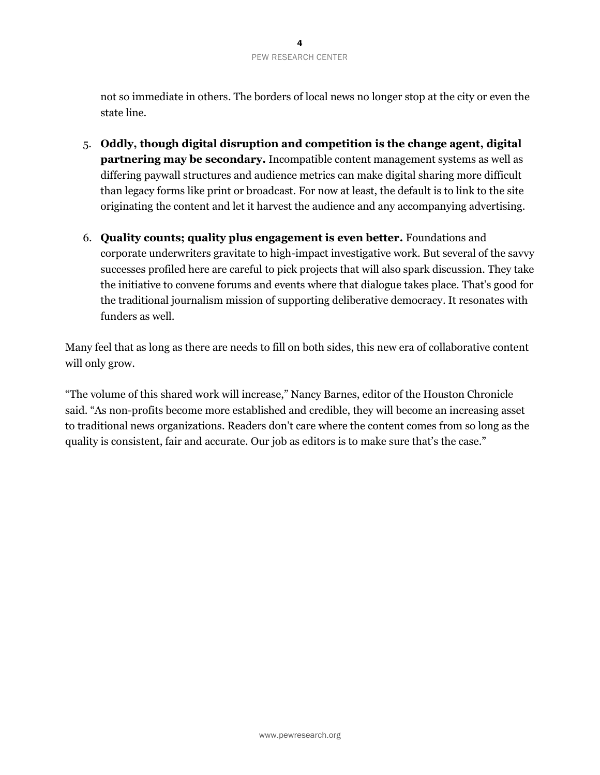not so immediate in others. The borders of local news no longer stop at the city or even the state line.

- 5. **Oddly, though digital disruption and competition is the change agent, digital partnering may be secondary.** Incompatible content management systems as well as differing paywall structures and audience metrics can make digital sharing more difficult than legacy forms like print or broadcast. For now at least, the default is to link to the site originating the content and let it harvest the audience and any accompanying advertising.
- 6. **Quality counts; quality plus engagement is even better.** Foundations and corporate underwriters gravitate to high-impact investigative work. But several of the savvy successes profiled here are careful to pick projects that will also spark discussion. They take the initiative to convene forums and events where that dialogue takes place. That's good for the traditional journalism mission of supporting deliberative democracy. It resonates with funders as well.

Many feel that as long as there are needs to fill on both sides, this new era of collaborative content will only grow.

"The volume of this shared work will increase," Nancy Barnes, editor of the Houston Chronicle said. "As non-profits become more established and credible, they will become an increasing asset to traditional news organizations. Readers don't care where the content comes from so long as the quality is consistent, fair and accurate. Our job as editors is to make sure that's the case."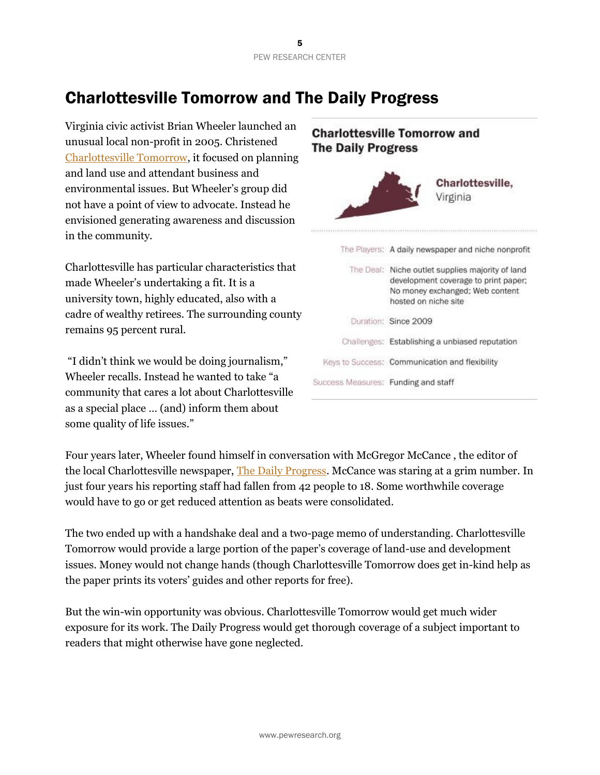# Charlottesville Tomorrow and The Daily Progress

Virginia civic activist Brian Wheeler launched an unusual local non-profit in 2005. Christened [Charlottesville Tomorrow,](http://www.cvilletomorrow.org/) it focused on planning and land use and attendant business and environmental issues. But Wheeler's group did not have a point of view to advocate. Instead he envisioned generating awareness and discussion in the community.

Charlottesville has particular characteristics that made Wheeler's undertaking a fit. It is a university town, highly educated, also with a cadre of wealthy retirees. The surrounding county remains 95 percent rural.

"I didn't think we would be doing journalism," Wheeler recalls. Instead he wanted to take "a community that cares a lot about Charlottesville as a special place … (and) inform them about some quality of life issues."



Four years later, Wheeler found himself in conversation with McGregor McCance , the editor of the local Charlottesville newspaper, [The Daily Progress.](http://www.dailyprogress.com/workitcville/news/local/coworking-space-to-open-in-november/article_4b83d33e-5d68-11e4-9479-0017a43b2370.html?mode=story) McCance was staring at a grim number. In just four years his reporting staff had fallen from 42 people to 18. Some worthwhile coverage would have to go or get reduced attention as beats were consolidated.

The two ended up with a handshake deal and a two-page memo of understanding. Charlottesville Tomorrow would provide a large portion of the paper's coverage of land-use and development issues. Money would not change hands (though Charlottesville Tomorrow does get in-kind help as the paper prints its voters' guides and other reports for free).

But the win-win opportunity was obvious. Charlottesville Tomorrow would get much wider exposure for its work. The Daily Progress would get thorough coverage of a subject important to readers that might otherwise have gone neglected.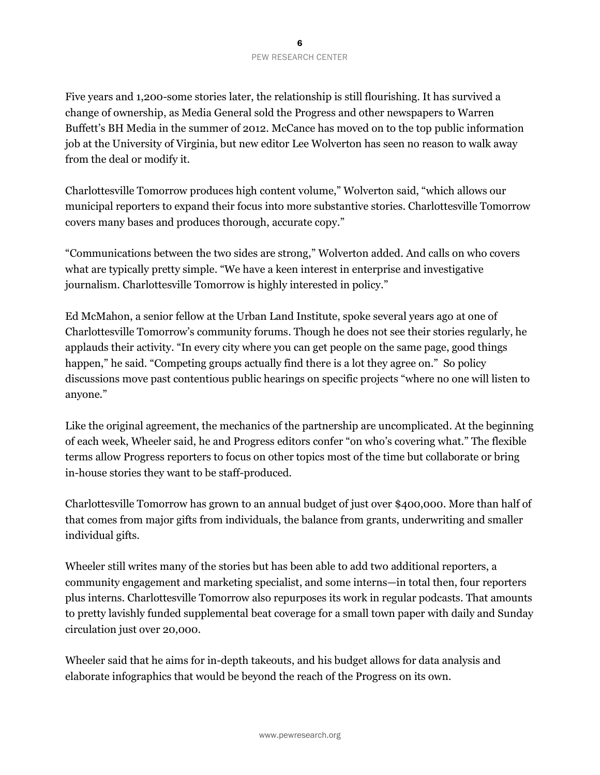Five years and 1,200-some stories later, the relationship is still flourishing. It has survived a change of ownership, as Media General sold the Progress and other newspapers to Warren Buffett's BH Media in the summer of 2012. McCance has moved on to the top public information job at the University of Virginia, but new editor Lee Wolverton has seen no reason to walk away from the deal or modify it.

Charlottesville Tomorrow produces high content volume," Wolverton said, "which allows our municipal reporters to expand their focus into more substantive stories. Charlottesville Tomorrow covers many bases and produces thorough, accurate copy."

"Communications between the two sides are strong," Wolverton added. And calls on who covers what are typically pretty simple. "We have a keen interest in enterprise and investigative journalism. Charlottesville Tomorrow is highly interested in policy."

Ed McMahon, a senior fellow at the Urban Land Institute, spoke several years ago at one of Charlottesville Tomorrow's community forums. Though he does not see their stories regularly, he applauds their activity. "In every city where you can get people on the same page, good things happen," he said. "Competing groups actually find there is a lot they agree on." So policy discussions move past contentious public hearings on specific projects "where no one will listen to anyone."

Like the original agreement, the mechanics of the partnership are uncomplicated. At the beginning of each week, Wheeler said, he and Progress editors confer "on who's covering what." The flexible terms allow Progress reporters to focus on other topics most of the time but collaborate or bring in-house stories they want to be staff-produced.

Charlottesville Tomorrow has grown to an annual budget of just over \$400,000. More than half of that comes from major gifts from individuals, the balance from grants, underwriting and smaller individual gifts.

Wheeler still writes many of the stories but has been able to add two additional reporters, a community engagement and marketing specialist, and some interns—in total then, four reporters plus interns. Charlottesville Tomorrow also repurposes its work in regular podcasts. That amounts to pretty lavishly funded supplemental beat coverage for a small town paper with daily and Sunday circulation just over 20,000.

Wheeler said that he aims for in-depth takeouts, and his budget allows for data analysis and elaborate infographics that would be beyond the reach of the Progress on its own.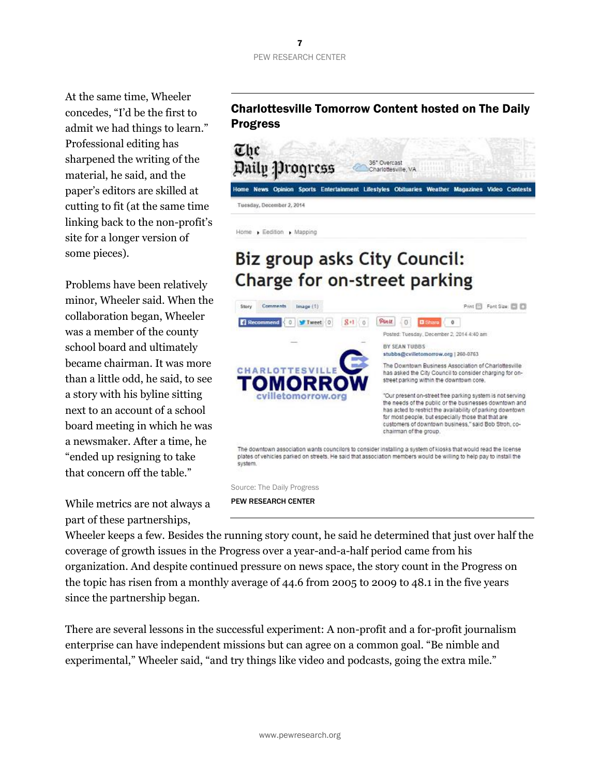#### PEW RESEARCH CENTER

At the same time, Wheeler concedes, "I'd be the first to admit we had things to learn." Professional editing has sharpened the writing of the material, he said, and the paper's editors are skilled at cutting to fit (at the same time linking back to the non-profit's site for a longer version of some pieces).

Problems have been relatively minor, Wheeler said. When the collaboration began, Wheeler was a member of the county school board and ultimately became chairman. It was more than a little odd, he said, to see a story with his byline sitting next to an account of a school board meeting in which he was a newsmaker. After a time, he "ended up resigning to take that concern off the table."

While metrics are not always a part of these partnerships,

#### Charlottesville Tomorrow Content hosted on The Daily Progress



# Biz group asks City Council: Charge for on-street parking



PEW RESEARCH CENTER

Home > Eedition > Mapping

Wheeler keeps a few. Besides the running story count, he said he determined that just over half the coverage of growth issues in the Progress over a year-and-a-half period came from his organization. And despite continued pressure on news space, the story count in the Progress on the topic has risen from a monthly average of 44.6 from 2005 to 2009 to 48.1 in the five years since the partnership began.

There are several lessons in the successful experiment: A non-profit and a for-profit journalism enterprise can have independent missions but can agree on a common goal. "Be nimble and experimental," Wheeler said, "and try things like video and podcasts, going the extra mile."

### 7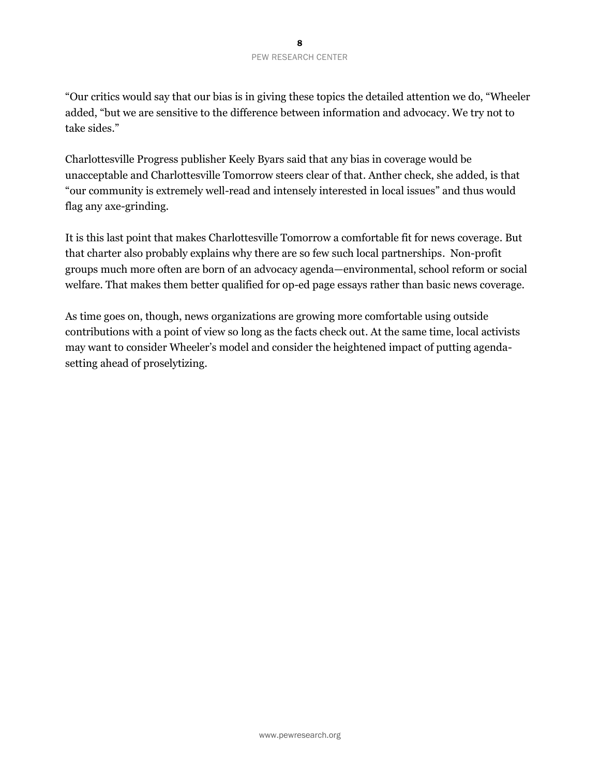"Our critics would say that our bias is in giving these topics the detailed attention we do, "Wheeler added, "but we are sensitive to the difference between information and advocacy. We try not to take sides."

Charlottesville Progress publisher Keely Byars said that any bias in coverage would be unacceptable and Charlottesville Tomorrow steers clear of that. Anther check, she added, is that "our community is extremely well-read and intensely interested in local issues" and thus would flag any axe-grinding.

It is this last point that makes Charlottesville Tomorrow a comfortable fit for news coverage. But that charter also probably explains why there are so few such local partnerships. Non-profit groups much more often are born of an advocacy agenda—environmental, school reform or social welfare. That makes them better qualified for op-ed page essays rather than basic news coverage.

As time goes on, though, news organizations are growing more comfortable using outside contributions with a point of view so long as the facts check out. At the same time, local activists may want to consider Wheeler's model and consider the heightened impact of putting agendasetting ahead of proselytizing.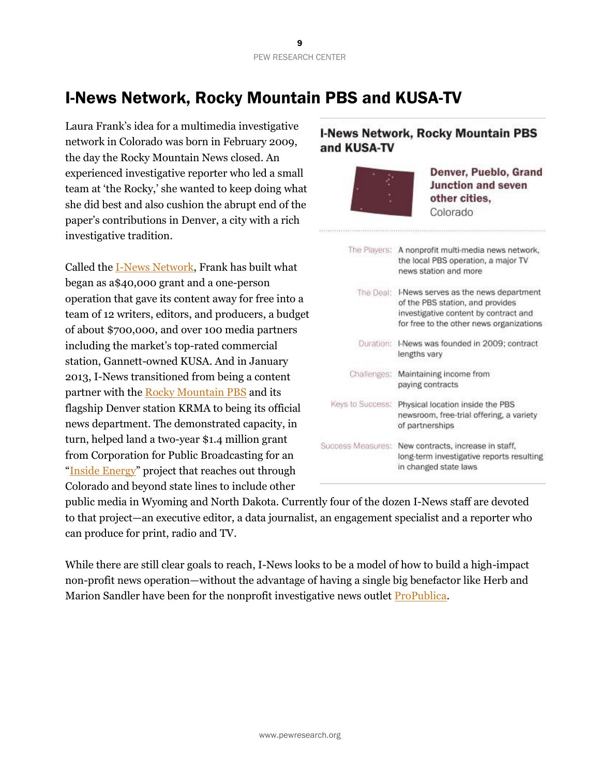# I-News Network, Rocky Mountain PBS and KUSA-TV

Laura Frank's idea for a multimedia investigative network in Colorado was born in February 2009, the day the Rocky Mountain News closed. An experienced investigative reporter who led a small team at 'the Rocky,' she wanted to keep doing what she did best and also cushion the abrupt end of the paper's contributions in Denver, a city with a rich investigative tradition.

Called the [I-News Network,](http://inewsnetwork.org/about/) Frank has built what began as a\$40,000 grant and a one-person operation that gave its content away for free into a team of 12 writers, editors, and producers, a budget of about \$700,000, and over 100 media partners including the market's top-rated commercial station, Gannett-owned KUSA. And in January 2013, I-News transitioned from being a content partner with the [Rocky Mountain PBS](http://www.rmpbs.org/home/) and its flagship Denver station KRMA to being its official news department. The demonstrated capacity, in turn, helped land a two-year \$1.4 million grant from Corporation for Public Broadcasting for an "[Inside Energy](http://insideenergy.org/)" project that reaches out through Colorado and beyond state lines to include other

#### **I-News Network, Rocky Mountain PBS** and KUSA-TV



Denver, Pueblo, Grand **Junction and seven** other cities. Colorado

|                  | The Players: A nonprofit multi-media news network,<br>the local PBS operation, a major TV<br>news station and more                                                      |
|------------------|-------------------------------------------------------------------------------------------------------------------------------------------------------------------------|
|                  | The Deal: I-News serves as the news department<br>of the PBS station, and provides<br>investigative content by contract and<br>for free to the other news organizations |
|                  | Duration: I-News was founded in 2009; contract<br>lengths vary                                                                                                          |
|                  | Challenges: Maintaining income from<br>paying contracts                                                                                                                 |
| Keys to Success: | Physical location inside the PBS<br>newsroom, free-trial offering, a variety<br>of partnerships                                                                         |
|                  | Success Measures: New contracts, increase in staff,<br>long-term investigative reports resulting<br>in changed state laws                                               |

public media in Wyoming and North Dakota. Currently four of the dozen I-News staff are devoted to that project—an executive editor, a data journalist, an engagement specialist and a reporter who can produce for print, radio and TV.

While there are still clear goals to reach, I-News looks to be a model of how to build a high-impact non-profit news operation—without the advantage of having a single big benefactor like Herb and Marion Sandler have been for the nonprofit investigative news outlet [ProPublica.](http://www.propublica.org/about/)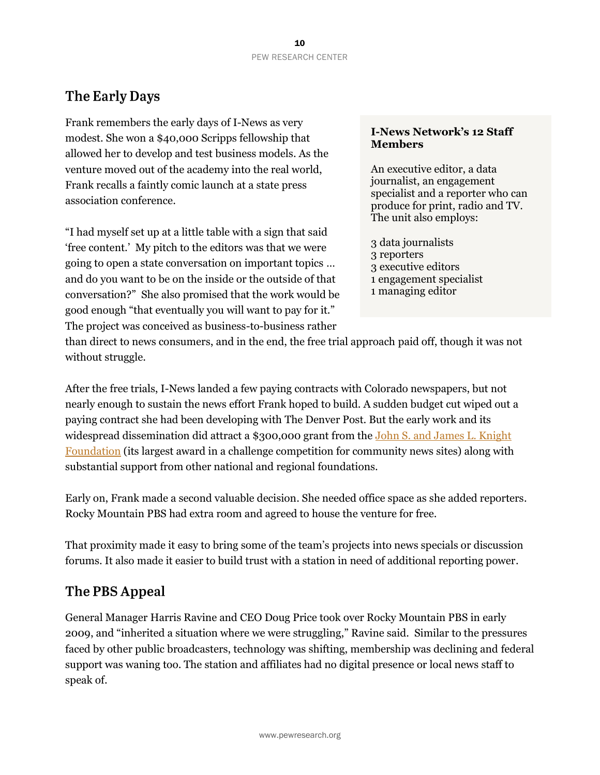### **The Early Days**

Frank remembers the early days of I-News as very modest. She won a \$40,000 Scripps fellowship that allowed her to develop and test business models. As the venture moved out of the academy into the real world, Frank recalls a faintly comic launch at a state press association conference.

"I had myself set up at a little table with a sign that said 'free content.' My pitch to the editors was that we were going to open a state conversation on important topics … and do you want to be on the inside or the outside of that conversation?" She also promised that the work would be good enough "that eventually you will want to pay for it." The project was conceived as business-to-business rather

#### **I-News Network's 12 Staff Members**

An executive editor, a data journalist, an engagement specialist and a reporter who can produce for print, radio and TV. The unit also employs:

- 3 data journalists 3 reporters 3 executive editors 1 engagement specialist
- 1 managing editor

than direct to news consumers, and in the end, the free trial approach paid off, though it was not without struggle.

After the free trials, I-News landed a few paying contracts with Colorado newspapers, but not nearly enough to sustain the news effort Frank hoped to build. A sudden budget cut wiped out a paying contract she had been developing with The Denver Post. But the early work and its widespread dissemination did attract a \$300,000 grant from the John S. and James L. Knight [Foundation](http://www.knightfoundation.org/about/) (its largest award in a challenge competition for community news sites) along with substantial support from other national and regional foundations.

Early on, Frank made a second valuable decision. She needed office space as she added reporters. Rocky Mountain PBS had extra room and agreed to house the venture for free.

That proximity made it easy to bring some of the team's projects into news specials or discussion forums. It also made it easier to build trust with a station in need of additional reporting power.

### The PBS Appeal

General Manager Harris Ravine and CEO Doug Price took over Rocky Mountain PBS in early 2009, and "inherited a situation where we were struggling," Ravine said. Similar to the pressures faced by other public broadcasters, technology was shifting, membership was declining and federal support was waning too. The station and affiliates had no digital presence or local news staff to speak of.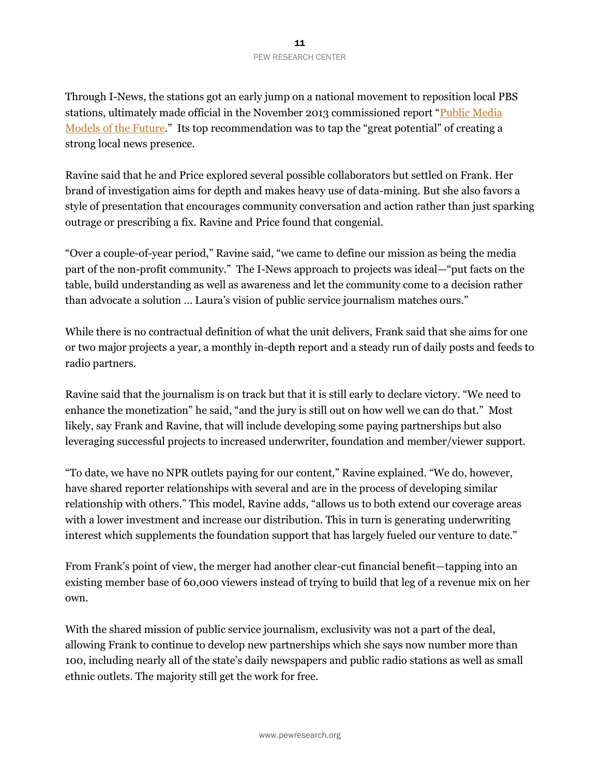Through I-News, the stations got an early jump on a national movement to reposition local PBS stations, ultimately made official in the November 2013 commissioned report "Public Media [Models of the Future](http://www.current.org/wp-content/uploads/2014/01/Models-of-the-Future-report.pdf)." Its top recommendation was to tap the "great potential" of creating a strong local news presence.

Ravine said that he and Price explored several possible collaborators but settled on Frank. Her brand of investigation aims for depth and makes heavy use of data-mining. But she also favors a style of presentation that encourages community conversation and action rather than just sparking outrage or prescribing a fix. Ravine and Price found that congenial.

"Over a couple-of-year period," Ravine said, "we came to define our mission as being the media part of the non-profit community." The I-News approach to projects was ideal—"put facts on the table, build understanding as well as awareness and let the community come to a decision rather than advocate a solution … Laura's vision of public service journalism matches ours."

While there is no contractual definition of what the unit delivers, Frank said that she aims for one or two major projects a year, a monthly in-depth report and a steady run of daily posts and feeds to radio partners.

Ravine said that the journalism is on track but that it is still early to declare victory. "We need to enhance the monetization" he said, "and the jury is still out on how well we can do that." Most likely, say Frank and Ravine, that will include developing some paying partnerships but also leveraging successful projects to increased underwriter, foundation and member/viewer support.

"To date, we have no NPR outlets paying for our content," Ravine explained. "We do, however, have shared reporter relationships with several and are in the process of developing similar relationship with others." This model, Ravine adds, "allows us to both extend our coverage areas with a lower investment and increase our distribution. This in turn is generating underwriting interest which supplements the foundation support that has largely fueled our venture to date."

From Frank's point of view, the merger had another clear-cut financial benefit—tapping into an existing member base of 60,000 viewers instead of trying to build that leg of a revenue mix on her own.

With the shared mission of public service journalism, exclusivity was not a part of the deal, allowing Frank to continue to develop new partnerships which she says now number more than 100, including nearly all of the state's daily newspapers and public radio stations as well as small ethnic outlets. The majority still get the work for free.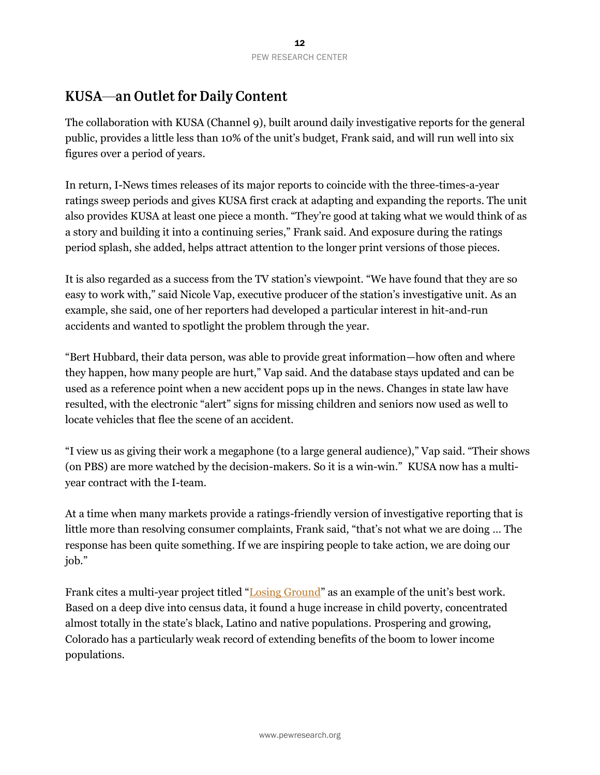### **KUSA—an Outlet for Daily Content**

The collaboration with KUSA (Channel 9), built around daily investigative reports for the general public, provides a little less than 10% of the unit's budget, Frank said, and will run well into six figures over a period of years.

In return, I-News times releases of its major reports to coincide with the three-times-a-year ratings sweep periods and gives KUSA first crack at adapting and expanding the reports. The unit also provides KUSA at least one piece a month. "They're good at taking what we would think of as a story and building it into a continuing series," Frank said. And exposure during the ratings period splash, she added, helps attract attention to the longer print versions of those pieces.

It is also regarded as a success from the TV station's viewpoint. "We have found that they are so easy to work with," said Nicole Vap, executive producer of the station's investigative unit. As an example, she said, one of her reporters had developed a particular interest in hit-and-run accidents and wanted to spotlight the problem through the year.

"Bert Hubbard, their data person, was able to provide great information—how often and where they happen, how many people are hurt," Vap said. And the database stays updated and can be used as a reference point when a new accident pops up in the news. Changes in state law have resulted, with the electronic "alert" signs for missing children and seniors now used as well to locate vehicles that flee the scene of an accident.

"I view us as giving their work a megaphone (to a large general audience)," Vap said. "Their shows (on PBS) are more watched by the decision-makers. So it is a win-win." KUSA now has a multiyear contract with the I-team.

At a time when many markets provide a ratings-friendly version of investigative reporting that is little more than resolving consumer complaints, Frank said, "that's not what we are doing … The response has been quite something. If we are inspiring people to take action, we are doing our job."

Frank cites a multi-year project titled "[Losing Ground](http://inewsnetwork.org/series/losing-ground/)" as an example of the unit's best work. Based on a deep dive into census data, it found a huge increase in child poverty, concentrated almost totally in the state's black, Latino and native populations. Prospering and growing, Colorado has a particularly weak record of extending benefits of the boom to lower income populations.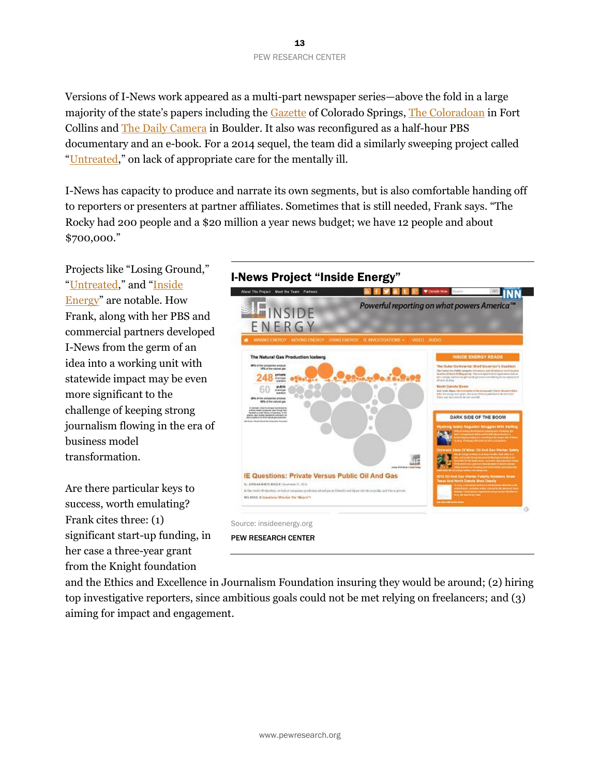Versions of I-News work appeared as a multi-part newspaper series—above the fold in a large majority of the state's papers including the [Gazette](http://gazette.com/) of Colorado Springs, [The Coloradoan](http://www.coloradoan.com/) in Fort Collins and [The Daily Camera](http://www.dailycamera.com/) in Boulder. It also was reconfigured as a half-hour PBS documentary and an e-book. For a 2014 sequel, the team did a similarly sweeping project called "[Untreated,](http://inewsnetwork.org/series/untreated/)" on lack of appropriate care for the mentally ill.

I-News has capacity to produce and narrate its own segments, but is also comfortable handing off to reporters or presenters at partner affiliates. Sometimes that is still needed, Frank says. "The Rocky had 200 people and a \$20 million a year news budget; we have 12 people and about \$700,000."

Projects like "Losing Ground," "[Untreated](http://inewsnetwork.org/series/untreated/)," and "Inside [Energy](http://insideenergy.org/)" are notable. How Frank, along with her PBS and commercial partners developed I-News from the germ of an idea into a working unit with statewide impact may be even more significant to the challenge of keeping strong journalism flowing in the era of business model transformation.

Are there particular keys to success, worth emulating? Frank cites three: (1) significant start-up funding, in her case a three-year grant from the Knight foundation





PEW RESEARCH CENTER

and the Ethics and Excellence in Journalism Foundation insuring they would be around; (2) hiring top investigative reporters, since ambitious goals could not be met relying on freelancers; and (3) aiming for impact and engagement.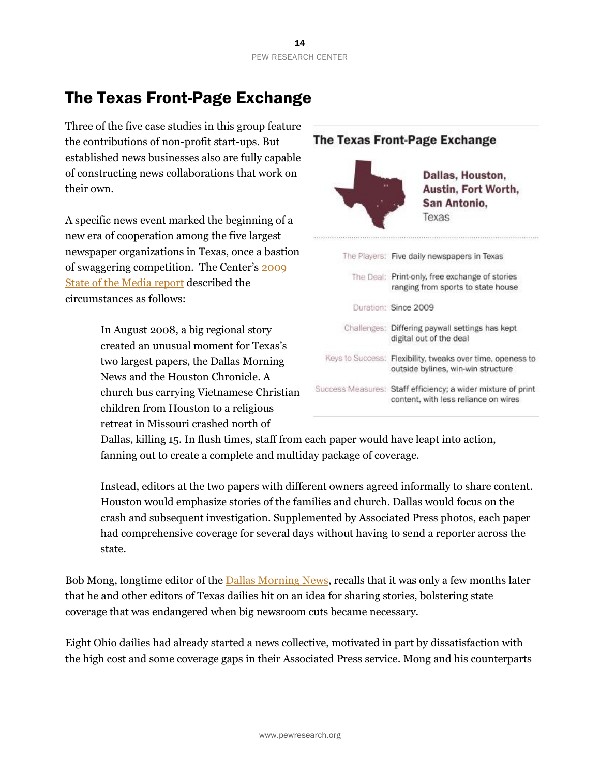# The Texas Front-Page Exchange

Three of the five case studies in this group feature the contributions of non-profit start-ups. But established news businesses also are fully capable of constructing news collaborations that work on their own.

A specific news event marked the beginning of a new era of cooperation among the five largest newspaper organizations in Texas, once a bastion of swaggering competition. The Center's [2009](http://www.stateofthemedia.org/2009/newspapers-intro/news-investment/)  [State of the Media report](http://www.stateofthemedia.org/2009/newspapers-intro/news-investment/) described the circumstances as follows:

> In August 2008, a big regional story created an unusual moment for Texas's two largest papers, the Dallas Morning News and the Houston Chronicle. A church bus carrying Vietnamese Christian children from Houston to a religious retreat in Missouri crashed north of



Dallas, killing 15. In flush times, staff from each paper would have leapt into action, fanning out to create a complete and multiday package of coverage.

Instead, editors at the two papers with different owners agreed informally to share content. Houston would emphasize stories of the families and church. Dallas would focus on the crash and subsequent investigation. Supplemented by Associated Press photos, each paper had comprehensive coverage for several days without having to send a reporter across the state.

Bob Mong, longtime editor of the [Dallas Morning News,](http://www.dallasnews.com/) recalls that it was only a few months later that he and other editors of Texas dailies hit on an idea for sharing stories, bolstering state coverage that was endangered when big newsroom cuts became necessary.

Eight Ohio dailies had already started a news collective, motivated in part by dissatisfaction with the high cost and some coverage gaps in their Associated Press service. Mong and his counterparts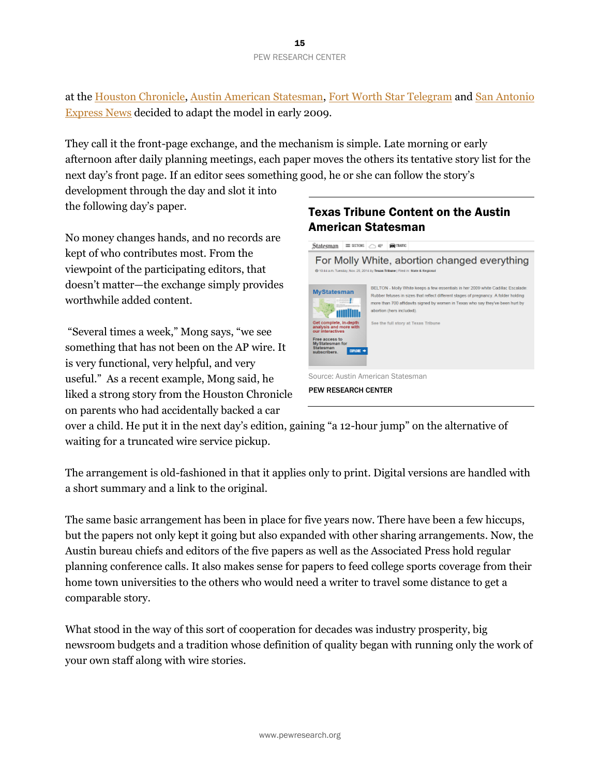at the [Houston Chronicle,](http://www.chron.com/) [Austin American Statesman,](http://www.statesman.com/) [Fort Worth Star Telegram](http://www.star-telegram.com/) and [San Antonio](http://www.mysanantonio.com/)  [Express News](http://www.mysanantonio.com/) decided to adapt the model in early 2009.

They call it the front-page exchange, and the mechanism is simple. Late morning or early afternoon after daily planning meetings, each paper moves the others its tentative story list for the next day's front page. If an editor sees something good, he or she can follow the story's

development through the day and slot it into the following day's paper.

No money changes hands, and no records are kept of who contributes most. From the viewpoint of the participating editors, that doesn't matter—the exchange simply provides worthwhile added content.

"Several times a week," Mong says, "we see something that has not been on the AP wire. It is very functional, very helpful, and very useful." As a recent example, Mong said, he liked a strong story from the Houston Chronicle on parents who had accidentally backed a car

#### Texas Tribune Content on the Austin American Statesman



over a child. He put it in the next day's edition, gaining "a 12-hour jump" on the alternative of waiting for a truncated wire service pickup.

The arrangement is old-fashioned in that it applies only to print. Digital versions are handled with a short summary and a link to the original.

The same basic arrangement has been in place for five years now. There have been a few hiccups, but the papers not only kept it going but also expanded with other sharing arrangements. Now, the Austin bureau chiefs and editors of the five papers as well as the Associated Press hold regular planning conference calls. It also makes sense for papers to feed college sports coverage from their home town universities to the others who would need a writer to travel some distance to get a comparable story.

What stood in the way of this sort of cooperation for decades was industry prosperity, big newsroom budgets and a tradition whose definition of quality began with running only the work of your own staff along with wire stories.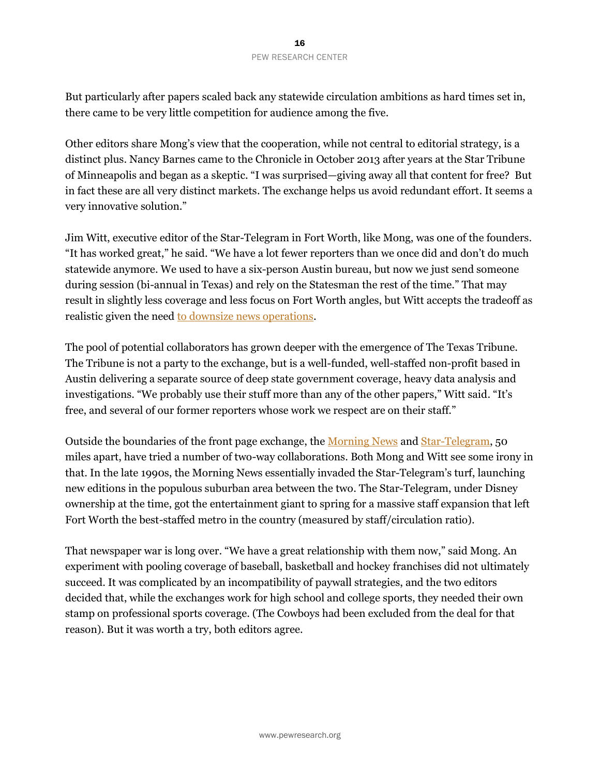But particularly after papers scaled back any statewide circulation ambitions as hard times set in, there came to be very little competition for audience among the five.

Other editors share Mong's view that the cooperation, while not central to editorial strategy, is a distinct plus. Nancy Barnes came to the Chronicle in October 2013 after years at the Star Tribune of Minneapolis and began as a skeptic. "I was surprised—giving away all that content for free? But in fact these are all very distinct markets. The exchange helps us avoid redundant effort. It seems a very innovative solution."

Jim Witt, executive editor of the Star-Telegram in Fort Worth, like Mong, was one of the founders. "It has worked great," he said. "We have a lot fewer reporters than we once did and don't do much statewide anymore. We used to have a six-person Austin bureau, but now we just send someone during session (bi-annual in Texas) and rely on the Statesman the rest of the time." That may result in slightly less coverage and less focus on Fort Worth angles, but Witt accepts the tradeoff as realistic given the need [to downsize news operations.](http://www.journalism.org/2014/07/10/americas-shifting-statehouse-press/)

The pool of potential collaborators has grown deeper with the emergence of The Texas Tribune. The Tribune is not a party to the exchange, but is a well-funded, well-staffed non-profit based in Austin delivering a separate source of deep state government coverage, heavy data analysis and investigations. "We probably use their stuff more than any of the other papers," Witt said. "It's free, and several of our former reporters whose work we respect are on their staff."

Outside the boundaries of the front page exchange, the [Morning News](http://www.dallasnews.com/) an[d Star-Telegram,](http://www.star-telegram.com/) 50 miles apart, have tried a number of two-way collaborations. Both Mong and Witt see some irony in that. In the late 1990s, the Morning News essentially invaded the Star-Telegram's turf, launching new editions in the populous suburban area between the two. The Star-Telegram, under Disney ownership at the time, got the entertainment giant to spring for a massive staff expansion that left Fort Worth the best-staffed metro in the country (measured by staff/circulation ratio).

That newspaper war is long over. "We have a great relationship with them now," said Mong. An experiment with pooling coverage of baseball, basketball and hockey franchises did not ultimately succeed. It was complicated by an incompatibility of paywall strategies, and the two editors decided that, while the exchanges work for high school and college sports, they needed their own stamp on professional sports coverage. (The Cowboys had been excluded from the deal for that reason). But it was worth a try, both editors agree.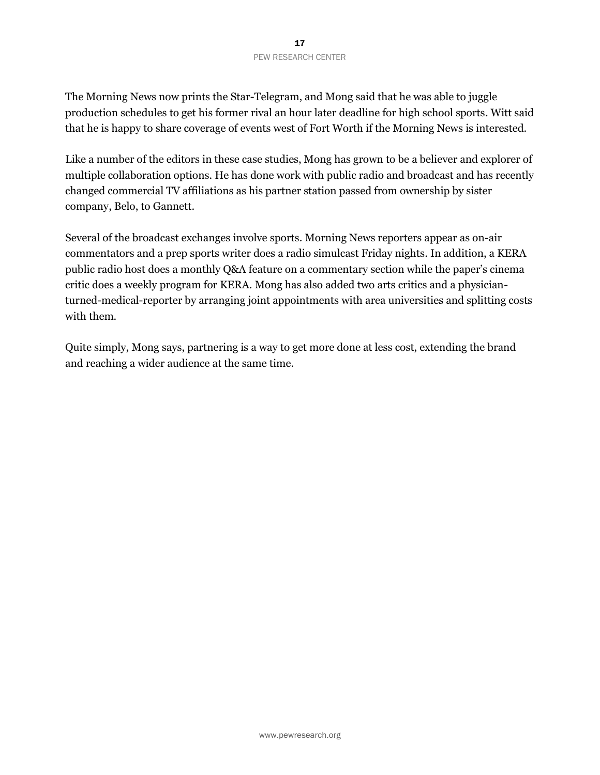The Morning News now prints the Star-Telegram, and Mong said that he was able to juggle production schedules to get his former rival an hour later deadline for high school sports. Witt said that he is happy to share coverage of events west of Fort Worth if the Morning News is interested.

Like a number of the editors in these case studies, Mong has grown to be a believer and explorer of multiple collaboration options. He has done work with public radio and broadcast and has recently changed commercial TV affiliations as his partner station passed from ownership by sister company, Belo, to Gannett.

Several of the broadcast exchanges involve sports. Morning News reporters appear as on-air commentators and a prep sports writer does a radio simulcast Friday nights. In addition, a KERA public radio host does a monthly Q&A feature on a commentary section while the paper's cinema critic does a weekly program for KERA. Mong has also added two arts critics and a physicianturned-medical-reporter by arranging joint appointments with area universities and splitting costs with them.

Quite simply, Mong says, partnering is a way to get more done at less cost, extending the brand and reaching a wider audience at the same time.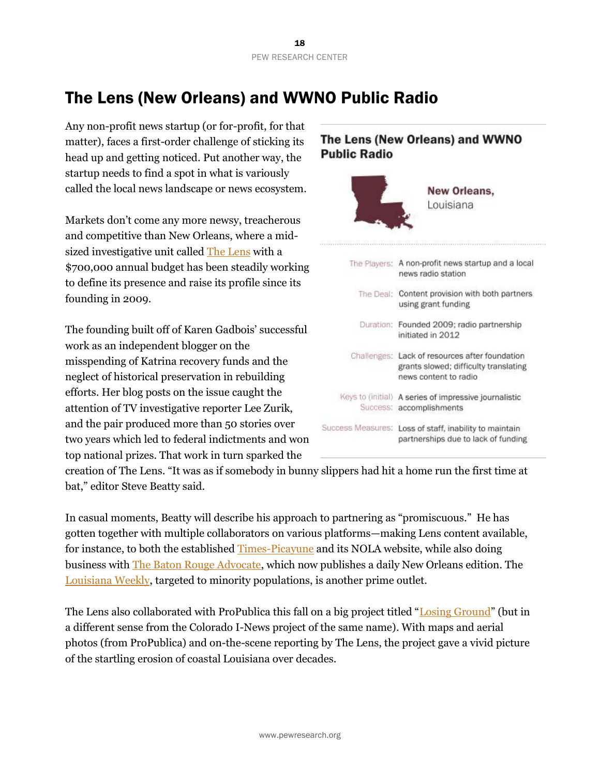# The Lens (New Orleans) and WWNO Public Radio

Any non-profit news startup (or for-profit, for that matter), faces a first-order challenge of sticking its head up and getting noticed. Put another way, the startup needs to find a spot in what is variously called the local news landscape or news ecosystem.

Markets don't come any more newsy, treacherous and competitive than New Orleans, where a midsized investigative unit called [The Lens](http://thelensnola.org/) with a \$700,000 annual budget has been steadily working to define its presence and raise its profile since its founding in 2009.

The founding built off of Karen Gadbois' successful work as an independent blogger on the misspending of Katrina recovery funds and the neglect of historical preservation in rebuilding efforts. Her blog posts on the issue caught the attention of TV investigative reporter Lee Zurik, and the pair produced more than 50 stories over two years which led to federal indictments and won top national prizes. That work in turn sparked the

### The Lens (New Orleans) and WWNO **Public Radio** New Orleans. Louisiana The Players: A non-profit news startup and a local news radio station The Deal: Content provision with both partners using grant funding Duration: Founded 2009; radio partnership initiated in 2012 Challenges: Lack of resources after foundation grants slowed; difficulty translating news content to radio Keys to (initial) A series of impressive journalistic Success: accomplishments Success Measures: Loss of staff, inability to maintain partnerships due to lack of funding

creation of The Lens. "It was as if somebody in bunny slippers had hit a home run the first time at bat," editor Steve Beatty said.

In casual moments, Beatty will describe his approach to partnering as "promiscuous." He has gotten together with multiple collaborators on various platforms—making Lens content available, for instance, to both the established [Times-Picayune](http://www.nola.com/t-p/) and its NOLA website, while also doing business with [The Baton Rouge Advocate,](http://theadvocate.com/) which now publishes a daily New Orleans edition. The [Louisiana Weekly,](http://www.louisianaweekly.com/) targeted to minority populations, is another prime outlet.

The Lens also collaborated with ProPublica this fall on a big project titled "[Losing Ground](http://projects.propublica.org/louisiana/)" (but in a different sense from the Colorado I-News project of the same name). With maps and aerial photos (from ProPublica) and on-the-scene reporting by The Lens, the project gave a vivid picture of the startling erosion of coastal Louisiana over decades.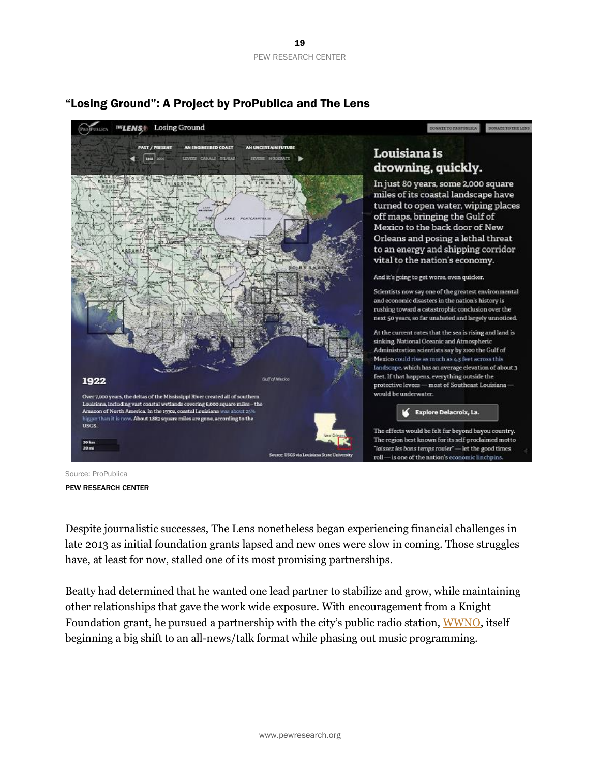

#### "Losing Ground": A Project by ProPublica and The Lens

Source: ProPublica PEW RESEARCH CENTER

Despite journalistic successes, The Lens nonetheless began experiencing financial challenges in late 2013 as initial foundation grants lapsed and new ones were slow in coming. Those struggles have, at least for now, stalled one of its most promising partnerships.

Beatty had determined that he wanted one lead partner to stabilize and grow, while maintaining other relationships that gave the work wide exposure. With encouragement from a Knight Foundation grant, he pursued a partnership with the city's public radio station, [WWNO,](http://wwno.org/) itself beginning a big shift to an all-news/talk format while phasing out music programming.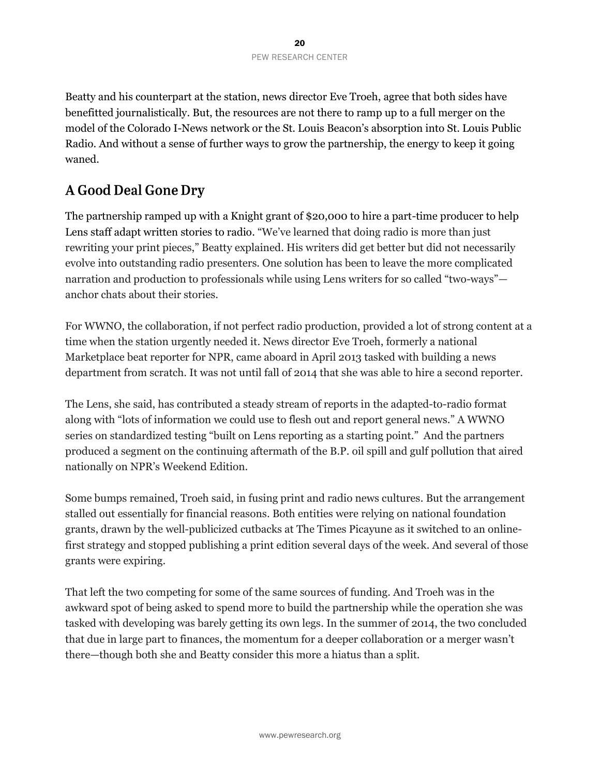Beatty and his counterpart at the station, news director Eve Troeh, agree that both sides have benefitted journalistically. But, the resources are not there to ramp up to a full merger on the model of the Colorado I-News network or the St. Louis Beacon's absorption into St. Louis Public Radio. And without a sense of further ways to grow the partnership, the energy to keep it going waned.

### **A Good Deal Gone Dry**

The partnership ramped up with a Knight grant of \$20,000 to hire a part-time producer to help Lens staff adapt written stories to radio. "We've learned that doing radio is more than just rewriting your print pieces," Beatty explained. His writers did get better but did not necessarily evolve into outstanding radio presenters. One solution has been to leave the more complicated narration and production to professionals while using Lens writers for so called "two-ways" anchor chats about their stories.

For WWNO, the collaboration, if not perfect radio production, provided a lot of strong content at a time when the station urgently needed it. News director Eve Troeh, formerly a national Marketplace beat reporter for NPR, came aboard in April 2013 tasked with building a news department from scratch. It was not until fall of 2014 that she was able to hire a second reporter.

The Lens, she said, has contributed a steady stream of reports in the adapted-to-radio format along with "lots of information we could use to flesh out and report general news." A WWNO series on standardized testing "built on Lens reporting as a starting point." And the partners produced a segment on the continuing aftermath of the B.P. oil spill and gulf pollution that aired nationally on NPR's Weekend Edition.

Some bumps remained, Troeh said, in fusing print and radio news cultures. But the arrangement stalled out essentially for financial reasons. Both entities were relying on national foundation grants, drawn by the well-publicized cutbacks at The Times Picayune as it switched to an onlinefirst strategy and stopped publishing a print edition several days of the week. And several of those grants were expiring.

That left the two competing for some of the same sources of funding. And Troeh was in the awkward spot of being asked to spend more to build the partnership while the operation she was tasked with developing was barely getting its own legs. In the summer of 2014, the two concluded that due in large part to finances, the momentum for a deeper collaboration or a merger wasn't there—though both she and Beatty consider this more a hiatus than a split.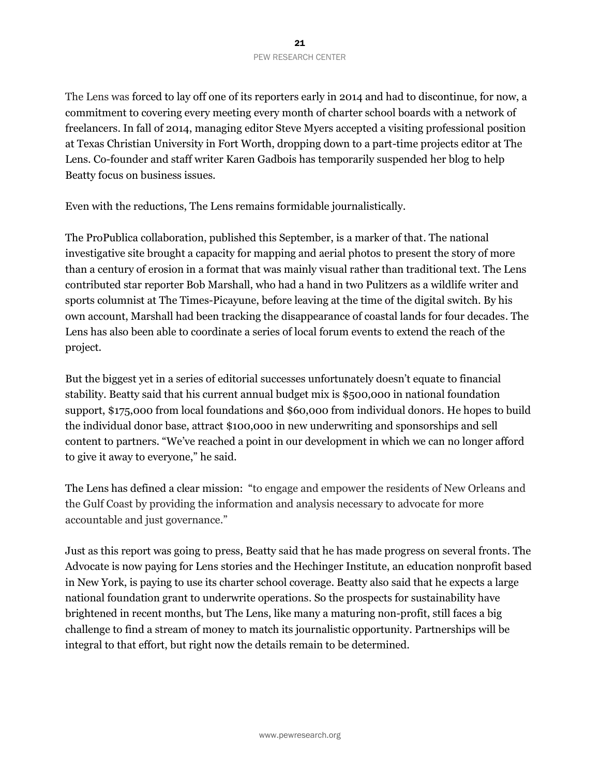The Lens was forced to lay off one of its reporters early in 2014 and had to discontinue, for now, a commitment to covering every meeting every month of charter school boards with a network of freelancers. In fall of 2014, managing editor Steve Myers accepted a visiting professional position at Texas Christian University in Fort Worth, dropping down to a part-time projects editor at The Lens. Co-founder and staff writer Karen Gadbois has temporarily suspended her blog to help Beatty focus on business issues.

Even with the reductions, The Lens remains formidable journalistically.

The ProPublica collaboration, published this September, is a marker of that. The national investigative site brought a capacity for mapping and aerial photos to present the story of more than a century of erosion in a format that was mainly visual rather than traditional text. The Lens contributed star reporter Bob Marshall, who had a hand in two Pulitzers as a wildlife writer and sports columnist at The Times-Picayune, before leaving at the time of the digital switch. By his own account, Marshall had been tracking the disappearance of coastal lands for four decades. The Lens has also been able to coordinate a series of local forum events to extend the reach of the project.

But the biggest yet in a series of editorial successes unfortunately doesn't equate to financial stability. Beatty said that his current annual budget mix is \$500,000 in national foundation support, \$175,000 from local foundations and \$60,000 from individual donors. He hopes to build the individual donor base, attract \$100,000 in new underwriting and sponsorships and sell content to partners. "We've reached a point in our development in which we can no longer afford to give it away to everyone," he said.

The Lens has defined a clear mission: "to engage and empower the residents of New Orleans and the Gulf Coast by providing the information and analysis necessary to advocate for more accountable and just governance."

Just as this report was going to press, Beatty said that he has made progress on several fronts. The Advocate is now paying for Lens stories and the Hechinger Institute, an education nonprofit based in New York, is paying to use its charter school coverage. Beatty also said that he expects a large national foundation grant to underwrite operations. So the prospects for sustainability have brightened in recent months, but The Lens, like many a maturing non-profit, still faces a big challenge to find a stream of money to match its journalistic opportunity. Partnerships will be integral to that effort, but right now the details remain to be determined.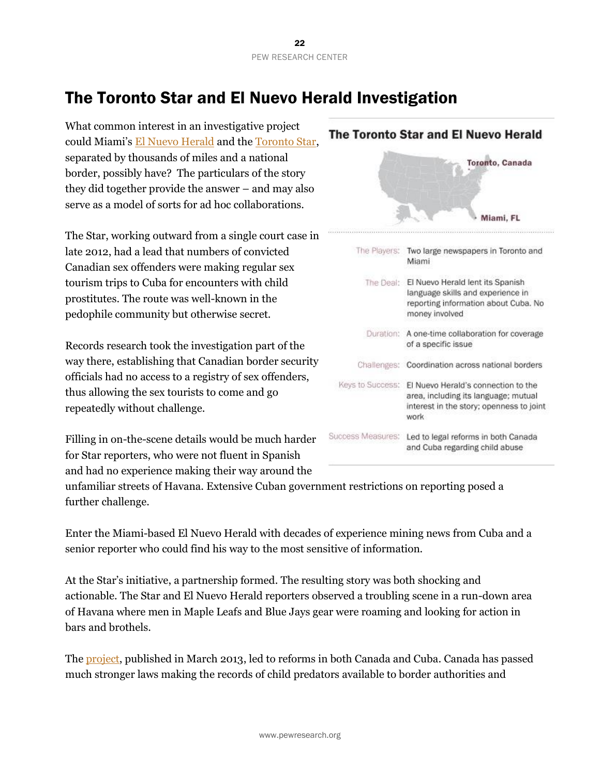# The Toronto Star and El Nuevo Herald Investigation

What common interest in an investigative project could Miami's [El Nuevo Herald](http://www.elnuevoherald.com/) and th[e Toronto Star,](http://www.thestar.com/) separated by thousands of miles and a national border, possibly have? The particulars of the story they did together provide the answer – and may also serve as a model of sorts for ad hoc collaborations.

The Star, working outward from a single court case in late 2012, had a lead that numbers of convicted Canadian sex offenders were making regular sex tourism trips to Cuba for encounters with child prostitutes. The route was well-known in the pedophile community but otherwise secret.

Records research took the investigation part of the way there, establishing that Canadian border security officials had no access to a registry of sex offenders, thus allowing the sex tourists to come and go repeatedly without challenge.

Filling in on-the-scene details would be much harder for Star reporters, who were not fluent in Spanish and had no experience making their way around the

|                   | The Toronto Star and El Nuevo Herald                                                                                            |
|-------------------|---------------------------------------------------------------------------------------------------------------------------------|
|                   | Toronto, Canada                                                                                                                 |
|                   | Miami, FL                                                                                                                       |
| The Players:      | Two large newspapers in Toronto and<br>Miami                                                                                    |
| The Deal:         | El Nuevo Herald lent its Spanish<br>language skills and experience in<br>reporting information about Cuba. No<br>money involved |
| Duration:         | A one-time collaboration for coverage<br>of a specific issue                                                                    |
|                   | Challenges: Coordination across national borders                                                                                |
| Keys to Success:  | El Nuevo Herald's connection to the<br>area, including its language; mutual<br>interest in the story; openness to joint<br>work |
| Success Measures: | Led to legal reforms in both Canada<br>and Cuba regarding child abuse                                                           |

unfamiliar streets of Havana. Extensive Cuban government restrictions on reporting posed a further challenge.

Enter the Miami-based El Nuevo Herald with decades of experience mining news from Cuba and a senior reporter who could find his way to the most sensitive of information.

At the Star's initiative, a partnership formed. The resulting story was both shocking and actionable. The Star and El Nuevo Herald reporters observed a troubling scene in a run-down area of Havana where men in Maple Leafs and Blue Jays gear were roaming and looking for action in bars and brothels.

The [project,](http://www.thestar.com/news/investigations/childsextourism.html) published in March 2013, led to reforms in both Canada and Cuba. Canada has passed much stronger laws making the records of child predators available to border authorities and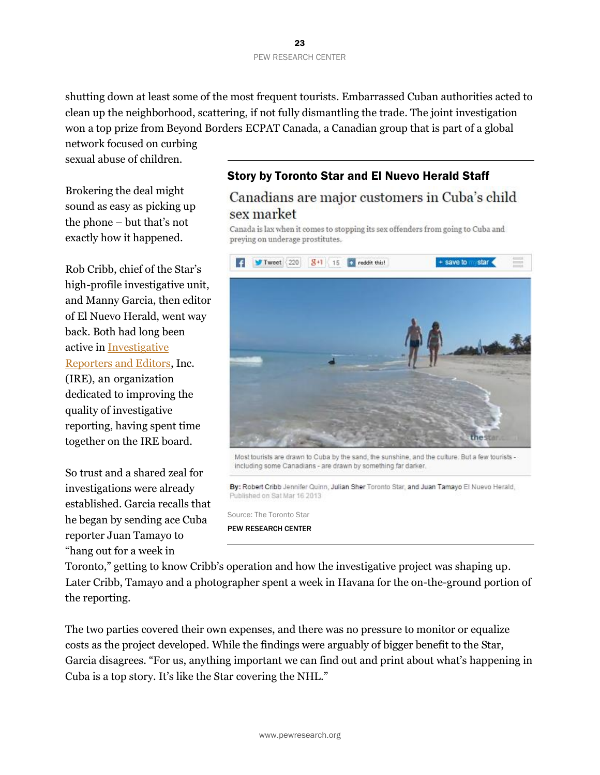shutting down at least some of the most frequent tourists. Embarrassed Cuban authorities acted to clean up the neighborhood, scattering, if not fully dismantling the trade. The joint investigation won a top prize from Beyond Borders ECPAT Canada, a Canadian group that is part of a global

network focused on curbing sexual abuse of children.

Brokering the deal might sound as easy as picking up the phone – but that's not exactly how it happened.

Rob Cribb, chief of the Star's high-profile investigative unit, and Manny Garcia, then editor of El Nuevo Herald, went way back. Both had long been active in [Investigative](http://www.ire.org/about/)  [Reporters and Editors,](http://www.ire.org/about/) Inc. (IRE), an organization dedicated to improving the quality of investigative reporting, having spent time together on the IRE board.

So trust and a shared zeal for investigations were already established. Garcia recalls that he began by sending ace Cuba reporter Juan Tamayo to "hang out for a week in

### Story by Toronto Star and El Nuevo Herald Staff

### Canadians are major customers in Cuba's child sex market

Canada is lax when it comes to stopping its sex offenders from going to Cuba and preying on underage prostitutes.



Most tourists are drawn to Cuba by the sand, the sunshine, and the culture. But a few tourists including some Canadians - are drawn by something far darker.

By: Robert Cribb Jennifer Quinn, Julian Sher Toronto Star, and Juan Tamayo El Nuevo Herald, Published on Sat Mar 16 2013

Source: The Toronto Star PEW RESEARCH CENTER

Toronto," getting to know Cribb's operation and how the investigative project was shaping up. Later Cribb, Tamayo and a photographer spent a week in Havana for the on-the-ground portion of the reporting.

The two parties covered their own expenses, and there was no pressure to monitor or equalize costs as the project developed. While the findings were arguably of bigger benefit to the Star, Garcia disagrees. "For us, anything important we can find out and print about what's happening in Cuba is a top story. It's like the Star covering the NHL."